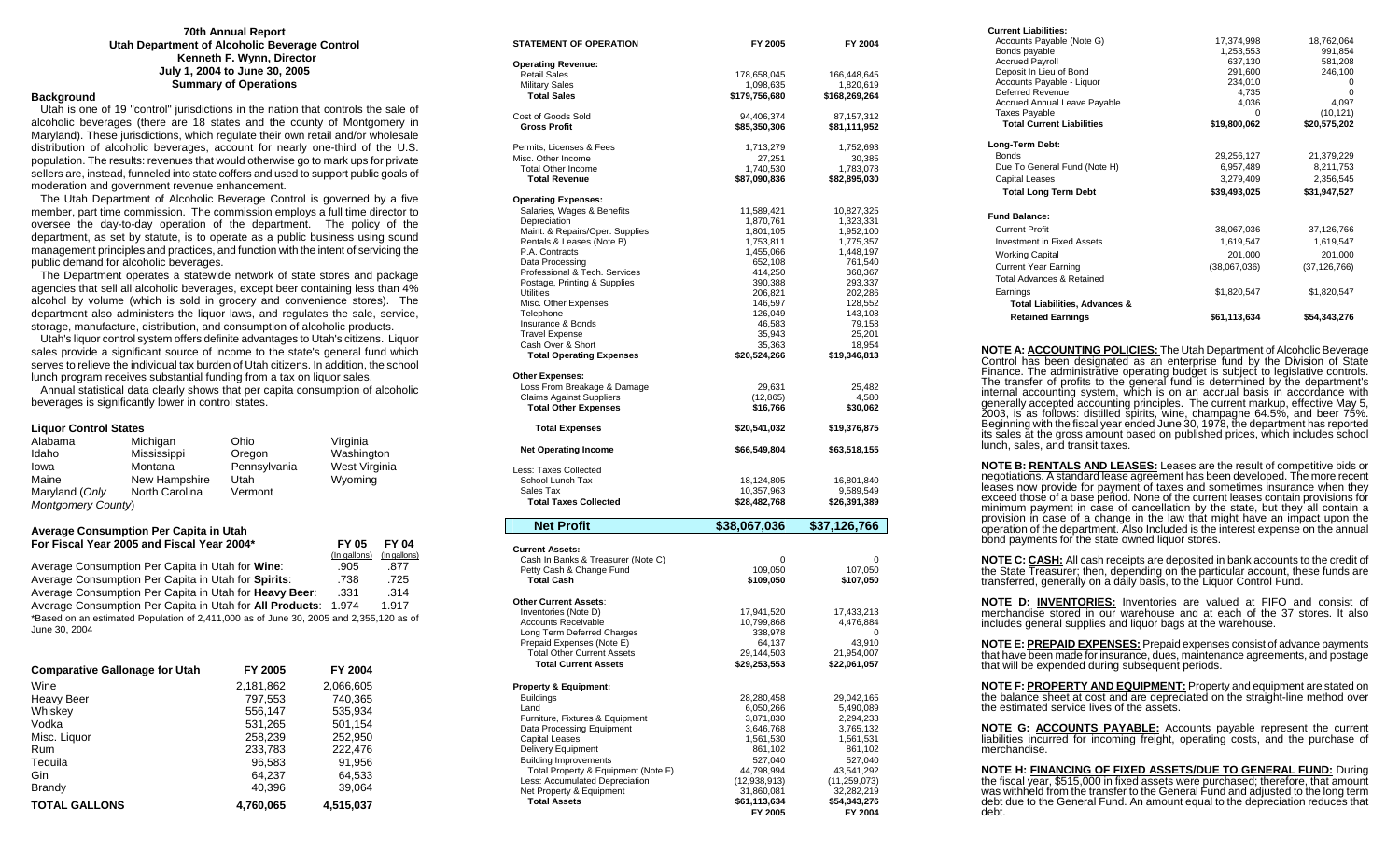#### **70th Annual Report Utah Department of Alcoholic Beverage Control Kenneth F. Wynn, Director July 1, 2004 to June 30, 2005 Summary of Operations**

### **Background**

 Utah is one of 19 "control" jurisdictions in the nation that controls the sale of alcoholic beverages (there are 18 states and the county of Montgomery in Maryland). These jurisdictions, which regulate their own retail and/or wholesale distribution of alcoholic beverages, account for nearly one-third of the U.S. population. The results: revenues that would otherwise go to mark ups for private sellers are, instead, funneled into state coffers and used to support public goals of moderation and government revenue enhancement.

 The Utah Department of Alcoholic Beverage Control is governed by a five member, part time commission. The commission employs a full time director to oversee the day-to-day operation of the department. The policy of the department, as set by statute, is to operate as a public business using sound management principles and practices, and function with the intent of servicing the public demand for alcoholic beverages.

 The Department operates a statewide network of state stores and package agencies that sell all alcoholic beverages, except beer containing less than 4% alcohol by volume (which is sold in grocery and convenience stores). The department also administers the liquor laws, and regulates the sale, service, storage, manufacture, distribution, and consumption of alcoholic products.

 Utah's liquor control system offers definite advantages to Utah's citizens. Liquor sales provide a significant source of income to the state's general fund which serves to relieve the individual tax burden of Utah citizens. In addition, the school lunch program receives substantial funding from a tax on liquor sales.

 Annual statistical data clearly shows that per capita consumption of alcoholic beverages is significantly lower in control states.

#### **Liquor Control States**

| Alabama                   | Michigan       | Ohio         | Virginia      |
|---------------------------|----------------|--------------|---------------|
| Idaho                     | Mississippi    | Oregon       | Washington    |
| Iowa                      | Montana        | Pennsylvania | West Virginia |
| Maine                     | New Hampshire  | Utah         | Wyoming       |
| Maryland (Only            | North Carolina | Vermont      |               |
| <b>Montgomery County)</b> |                |              |               |

#### **Average Consumption Per Capita in Utah For Fiscal Year 2005 and Fiscal Year 2004\* FY 05 FY 04**

|                                                                                        | (In gallons) | (In gallons) |
|----------------------------------------------------------------------------------------|--------------|--------------|
| Average Consumption Per Capita in Utah for Wine:                                       | .905         | .877         |
| Average Consumption Per Capita in Utah for Spirits:                                    | .738         | .725         |
| Average Consumption Per Capita in Utah for Heavy Beer:                                 | .331         | .314         |
| Average Consumption Per Capita in Utah for All Products: 1.974                         |              | 1.917        |
| *Based on an estimated Population of 2,411,000 as of June 30, 2005 and 2,355,120 as of |              |              |
| June 30, 2004                                                                          |              |              |

| <b>Comparative Gallonage for Utah</b> | FY 2005   | FY 2004   |
|---------------------------------------|-----------|-----------|
| Wine                                  | 2,181,862 | 2,066,605 |
| <b>Heavy Beer</b>                     | 797,553   | 740.365   |
| Whiskey                               | 556,147   | 535,934   |
| Vodka                                 | 531,265   | 501,154   |
| Misc. Liquor                          | 258,239   | 252,950   |
| <b>Rum</b>                            | 233,783   | 222.476   |
| Tequila                               | 96,583    | 91,956    |
| Gin                                   | 64.237    | 64,533    |
| Brandy                                | 40,396    | 39,064    |
| <b>TOTAL GALLONS</b>                  | 4.760.065 | 4,515,037 |

| STATEMENT OF OPERATION                                     | FY 2005                      | FY 2004                      |
|------------------------------------------------------------|------------------------------|------------------------------|
| <b>Operating Revenue:</b>                                  |                              |                              |
| <b>Retail Sales</b>                                        | 178,658,045                  | 166,448,645                  |
| <b>Military Sales</b>                                      | 1,098,635                    | 1,820,619                    |
| <b>Total Sales</b>                                         | \$179,756,680                | \$168,269,264                |
| Cost of Goods Sold                                         | 94,406,374                   | 87,157,312                   |
| <b>Gross Profit</b>                                        | \$85,350,306                 | \$81,111,952                 |
| Permits, Licenses & Fees                                   | 1,713,279                    | 1,752,693                    |
| Misc. Other Income                                         | 27,251                       | 30,385                       |
| <b>Total Other Income</b>                                  | 1,740,530                    | 1,783,078                    |
| <b>Total Revenue</b>                                       | \$87,090,836                 | \$82,895,030                 |
| <b>Operating Expenses:</b>                                 |                              |                              |
| Salaries, Wages & Benefits                                 | 11,589,421                   | 10,827,325                   |
| Depreciation<br>Maint. & Repairs/Oper. Supplies            | 1,870,761<br>1,801,105       | 1,323,331<br>1,952,100       |
| Rentals & Leases (Note B)                                  | 1,753,811                    | 1,775,357                    |
| P.A. Contracts                                             | 1,455,066                    | 1,448,197                    |
| Data Processing                                            | 652,108                      | 761,540                      |
| Professional & Tech. Services                              | 414,250                      | 368,367                      |
| Postage, Printing & Supplies                               | 390,388                      | 293,337                      |
| Utilities                                                  | 206,821                      | 202,286                      |
| Misc. Other Expenses                                       | 146,597                      | 128,552                      |
| Telephone<br>Insurance & Bonds                             | 126,049<br>46,583            | 143,108<br>79,158            |
| <b>Travel Expense</b>                                      | 35,943                       | 25,201                       |
| Cash Over & Short                                          | 35,363                       | 18,954                       |
| <b>Total Operating Expenses</b>                            | \$20,524,266                 | \$19,346,813                 |
| <b>Other Expenses:</b>                                     |                              |                              |
| Loss From Breakage & Damage                                | 29,631                       | 25,482                       |
| <b>Claims Against Suppliers</b>                            | (12,865)                     | 4,580                        |
| <b>Total Other Expenses</b>                                | \$16,766                     | \$30,062                     |
| <b>Total Expenses</b>                                      | \$20,541,032                 | \$19,376,875                 |
| <b>Net Operating Income</b>                                | \$66,549,804                 | \$63,518,155                 |
| Less: Taxes Collected                                      |                              |                              |
| School Lunch Tax                                           | 18,124,805                   | 16,801,840                   |
| Sales Tax                                                  | 10,357,963                   | 9,589,549                    |
| <b>Total Taxes Collected</b>                               | \$28,482,768                 | \$26,391,389                 |
| <b>Net Profit</b>                                          | \$38,067,036                 | \$37,126,766                 |
| <b>Current Assets:</b>                                     |                              |                              |
| Cash In Banks & Treasurer (Note C)                         | 0                            | 0                            |
| Petty Cash & Change Fund                                   | 109,050                      | 107,050                      |
| <b>Total Cash</b>                                          | \$109,050                    | \$107,050                    |
| <b>Other Current Assets:</b>                               |                              |                              |
| Inventories (Note D)                                       | 17,941,520                   | 17,433,213                   |
| <b>Accounts Receivable</b>                                 | 10,799,868                   | 4,476,884                    |
| Long Term Deferred Charges<br>Prepaid Expenses (Note E)    | 338,978                      |                              |
| <b>Total Other Current Assets</b>                          | 64,137<br>29,144,503         | 43,910<br>21,954,007         |
| <b>Total Current Assets</b>                                | \$29,253,553                 | \$22,061,057                 |
|                                                            |                              |                              |
| <b>Property &amp; Equipment:</b><br><b>Buildings</b>       |                              |                              |
| Land                                                       | 28,280,458<br>6,050,266      | 29,042,165<br>5,490,089      |
| Furniture, Fixtures & Equipment                            | 3.871.830                    | 2.294.233                    |
| Data Processing Equipment                                  | 3,646,768                    | 3,765,132                    |
| <b>Capital Leases</b>                                      | 1,561,530                    | 1,561,531                    |
| <b>Delivery Equipment</b>                                  | 861,102                      | 861,102                      |
| <b>Building Improvements</b>                               | 527,040                      | 527,040                      |
| Total Property & Equipment (Note F)                        | 44,798,994                   | 43,541,292                   |
| Less: Accumulated Depreciation<br>Net Property & Equipment | (12, 938, 913)<br>31,860,081 | (11, 259, 073)<br>32,282,219 |
| <b>Total Assets</b>                                        | \$61,113,634                 | \$54,343,276                 |
|                                                            | FY 2005                      | FY 2004                      |

| <b>Current Liabilities:</b>                                                                                                                                       |                  |                |
|-------------------------------------------------------------------------------------------------------------------------------------------------------------------|------------------|----------------|
| Accounts Payable (Note G)                                                                                                                                         | 17,374,998       | 18,762,064     |
| Bonds payable                                                                                                                                                     | 1,253,553        | 991,854        |
| <b>Accrued Payroll</b>                                                                                                                                            | 637,130          | 581,208        |
| Deposit In Lieu of Bond                                                                                                                                           | 291,600          | 246,100        |
| Accounts Payable - Liquor<br>Deferred Revenue                                                                                                                     | 234,010<br>4,735 | 0<br>$\Omega$  |
| <b>Accrued Annual Leave Payable</b>                                                                                                                               | 4,036            | 4,097          |
| <b>Taxes Payable</b>                                                                                                                                              | 0                | (10, 121)      |
| <b>Total Current Liabilities</b>                                                                                                                                  | \$19,800,062     | \$20,575,202   |
| Long-Term Debt:                                                                                                                                                   |                  |                |
| <b>Bonds</b>                                                                                                                                                      | 29,256,127       | 21,379,229     |
| Due To General Fund (Note H)                                                                                                                                      | 6,957,489        | 8,211,753      |
| <b>Capital Leases</b>                                                                                                                                             | 3.279.409        | 2,356,545      |
| <b>Total Long Term Debt</b>                                                                                                                                       | \$39.493.025     | \$31.947.527   |
| <b>Fund Balance:</b>                                                                                                                                              |                  |                |
| <b>Current Profit</b>                                                                                                                                             | 38,067,036       | 37,126,766     |
| <b>Investment in Fixed Assets</b>                                                                                                                                 | 1,619,547        | 1,619,547      |
| <b>Working Capital</b>                                                                                                                                            | 201.000          | 201,000        |
| <b>Current Year Earning</b>                                                                                                                                       | (38,067,036)     | (37, 126, 766) |
| <b>Total Advances &amp; Retained</b>                                                                                                                              |                  |                |
| Earnings                                                                                                                                                          | \$1,820,547      | \$1,820,547    |
| <b>Total Liabilities, Advances &amp;</b>                                                                                                                          |                  |                |
| <b>Retained Earnings</b>                                                                                                                                          | \$61,113,634     | \$54,343,276   |
|                                                                                                                                                                   |                  |                |
| <b>NOTE A: ACCOUNTING POLICIES:</b> The Utah Department of Alcoholic Beverage<br>Control has been designated as an enterprise fund by the Division of State       |                  |                |
| Finance. The administrative operating budget is subject to legislative controls.<br>The transfer of profits to the general fund is determined by the department's |                  |                |
|                                                                                                                                                                   |                  |                |
| internal accounting system, which is on an accrual basis in accordance with                                                                                       |                  |                |

internal accounting system, which is on an accrual basis in accordance with<br>generally accepted accounting principles. The current markup, effective May 5,<br>2003, is as follows: distilled spirits, wine, champagne 64.5%, and its sales at the gross amount based on published prices, which includes school lunch, sales, and transit taxes.

**NOTE B: RENTALS AND LEASES:** Leases are the result of competitive bids or negotiations. A standard lease agreement has been developed. The more recent leases now provide for payment of taxes and sometimes insurance when they exceed those of a base period. None of the current leases contain provisions for minimum payment in case of cancellation by the state, but they all contain a provision in case of a change in the law that might have an impact upon the operation of the department. Also Included is the interest expense on the annual bond payments for the state owned liquor stores.

**NOTE C: CASH:** All cash receipts are deposited in bank accounts to the credit of the State Treasurer; then, depending on the particular account, these funds are transferred, generally on a daily basis, to the Liquor Control Fund.

**NOTE D: INVENTORIES:** Inventories are valued at FIFO and consist of merchandise stored in our warehouse and at each of the 37 stores. It also includes general supplies and liquor bags at the warehouse.

**NOTE E: PREPAID EXPENSES:** Prepaid expenses consist of advance payments that have been made for insurance, dues, maintenance agreements, and postage that will be expended during subsequent periods.

**NOTE F: PROPERTY AND EQUIPMENT:** Property and equipment are stated on the balance sheet at cost and are depreciated on the straight-line method over the estimated service lives of the assets.

**NOTE G: ACCOUNTS PAYABLE:** Accounts payable represent the current liabilities incurred for incoming freight, operating costs, and the purchase of merchandise.

**NOTE H: FINANCING OF FIXED ASSETS/DUE TO GENERAL FUND:** During the fiscal year, \$515,000 in fixed assets were purchased; therefore, that amount was withheld from the transfer to the General Fund and adjusted to the long t debt.